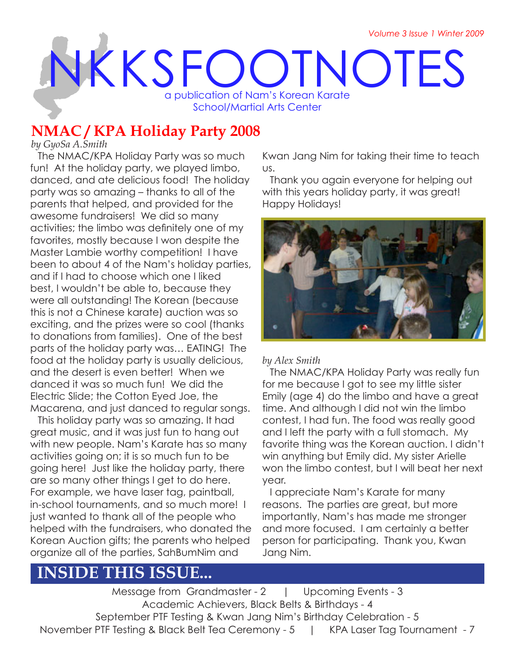# NKKSFOOTNOTES a publication of Nam's Korean Karate School/Martial Arts Center

# **NMAC / KPA Holiday Party 2008**

*by GyoSa A.Smith*

The NMAC/KPA Holiday Party was so much fun! At the holiday party, we played limbo, danced, and ate delicious food! The holiday party was so amazing – thanks to all of the parents that helped, and provided for the awesome fundraisers! We did so many activities; the limbo was definitely one of my favorites, mostly because I won despite the Master Lambie worthy competition! I have been to about 4 of the Nam's holiday parties, and if I had to choose which one I liked best, I wouldn't be able to, because they were all outstanding! The Korean (because this is not a Chinese karate) auction was so exciting, and the prizes were so cool (thanks to donations from families). One of the best parts of the holiday party was… EATING! The food at the holiday party is usually delicious, and the desert is even better! When we danced it was so much fun! We did the Electric Slide; the Cotton Eyed Joe, the Macarena, and just danced to regular songs.

This holiday party was so amazing. It had great music, and it was just fun to hang out with new people. Nam's Karate has so many activities going on; it is so much fun to be going here! Just like the holiday party, there are so many other things I get to do here. For example, we have laser tag, paintball, in-school tournaments, and so much more! I just wanted to thank all of the people who helped with the fundraisers, who donated the Korean Auction gifts; the parents who helped organize all of the parties, SahBumNim and

Kwan Jang Nim for taking their time to teach us.

Thank you again everyone for helping out with this years holiday party, it was great! Happy Holidays!



#### *by Alex Smith*

The NMAC/KPA Holiday Party was really fun for me because I got to see my little sister Emily (age 4) do the limbo and have a great time. And although I did not win the limbo contest, I had fun. The food was really good and I left the party with a full stomach. My favorite thing was the Korean auction. I didn't win anything but Emily did. My sister Arielle won the limbo contest, but I will beat her next year.

I appreciate Nam's Karate for many reasons. The parties are great, but more importantly, Nam's has made me stronger and more focused. I am certainly a better person for participating. Thank you, Kwan Jang Nim.

# **INSIDE THIS ISSUE...**

Message from Grandmaster - 2 | Upcoming Events - 3 Academic Achievers, Black Belts & Birthdays - 4 September PTF Testing & Kwan Jang Nim's Birthday Celebration - 5 November PTF Testing & Black Belt Tea Ceremony - 5 | KPA Laser Tag Tournament - 7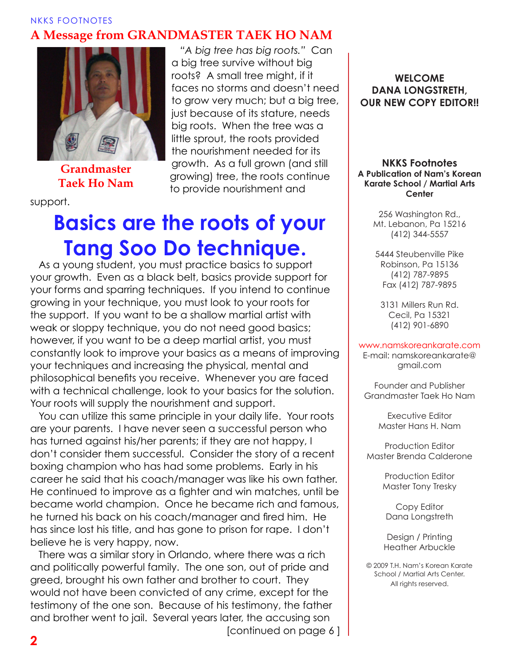#### NKKS FOOTNOTES **A Message from GRANDMASTER TAEK HO NAM**

*"A big tree has big roots."* Can

faces no storms and doesn't need to grow very much; but a big tree, just because of its stature, needs big roots. When the tree was a little sprout, the roots provided the nourishment needed for its growth. As a full grown (and still growing) tree, the roots continue

a big tree survive without big roots? A small tree might, if it

to provide nourishment and



**Grandmaster Taek Ho Nam**

support.

# **Basics are the roots of your Tang Soo Do technique.**

As a young student, you must practice basics to support your growth. Even as a black belt, basics provide support for your forms and sparring techniques. If you intend to continue growing in your technique, you must look to your roots for the support. If you want to be a shallow martial artist with weak or sloppy technique, you do not need good basics; however, if you want to be a deep martial artist, you must constantly look to improve your basics as a means of improving your techniques and increasing the physical, mental and philosophical benefits you receive. Whenever you are faced with a technical challenge, look to your basics for the solution. Your roots will supply the nourishment and support.

You can utilize this same principle in your daily life. Your roots are your parents. I have never seen a successful person who has turned against his/her parents; if they are not happy, I don't consider them successful. Consider the story of a recent boxing champion who has had some problems. Early in his career he said that his coach/manager was like his own father. He continued to improve as a fighter and win matches, until be became world champion. Once he became rich and famous, he turned his back on his coach/manager and fired him. He has since lost his title, and has gone to prison for rape. I don't believe he is very happy, now.

There was a similar story in Orlando, where there was a rich and politically powerful family. The one son, out of pride and greed, brought his own father and brother to court. They would not have been convicted of any crime, except for the testimony of the one son. Because of his testimony, the father and brother went to jail. Several years later, the accusing son

[continued on page 6 ]

**WELCOME DANA LONGSTRETH, OUR NEW COPY EDITOR!!**

#### **NKKS Footnotes A Publication of Nam's Korean Karate School / Martial Arts Center**

256 Washington Rd., Mt. Lebanon, Pa 15216 (412) 344-5557

5444 Steubenville Pike Robinson, Pa 15136 (412) 787-9895 Fax (412) 787-9895

3131 Millers Run Rd. Cecil, Pa 15321 (412) 901-6890

#### www.namskoreankarate.com

E-mail: namskoreankarate@ gmail.com

Founder and Publisher Grandmaster Taek Ho Nam

> Executive Editor Master Hans H. Nam

Production Editor Master Brenda Calderone

> Production Editor Master Tony Tresky

Copy Editor Dana Longstreth

Design / Printing Heather Arbuckle

© 2009 T.H. Nam's Korean Karate School / Martial Arts Center. All rights reserved.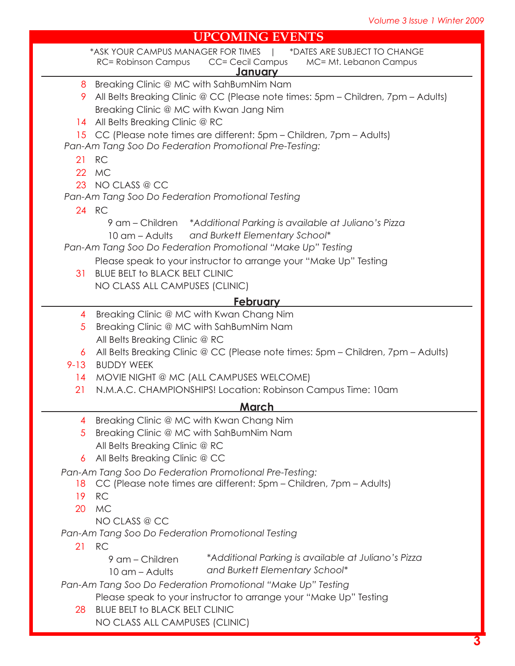#### **UPCOMING EVENTS**

| UFCOMING EVENTS                                             |                                                                                  |
|-------------------------------------------------------------|----------------------------------------------------------------------------------|
|                                                             | *ASK YOUR CAMPUS MANAGER FOR TIMES   *DATES ARE SUBJECT TO CHANGE                |
|                                                             | CC= Cecil Campus MC= Mt. Lebanon Campus<br><b>RC= Robinson Campus</b>            |
|                                                             | <u>January</u>                                                                   |
|                                                             | 8 Breaking Clinic @ MC with SahBumNim Nam                                        |
| 9.                                                          | All Belts Breaking Clinic @ CC (Please note times: 5pm - Children, 7pm - Adults) |
|                                                             | Breaking Clinic @ MC with Kwan Jang Nim                                          |
|                                                             | 14 All Belts Breaking Clinic @ RC                                                |
|                                                             | 15 CC (Please note times are different: 5pm - Children, 7pm - Adults)            |
|                                                             | Pan-Am Tang Soo Do Federation Promotional Pre-Testing:                           |
| 21                                                          | <b>RC</b>                                                                        |
|                                                             | 22 MC                                                                            |
|                                                             | 23 NO CLASS @ CC                                                                 |
|                                                             | Pan-Am Tang Soo Do Federation Promotional Testing                                |
|                                                             | 24 RC                                                                            |
|                                                             | 9 am – Children *Additional Parking is available at Juliano's Pizza              |
|                                                             | 10 am - Adults and Burkett Elementary School*                                    |
|                                                             | Pan-Am Tang Soo Do Federation Promotional "Make Up" Testing                      |
|                                                             | Please speak to your instructor to arrange your "Make Up" Testing                |
| 31                                                          | <b>BLUE BELT TO BLACK BELT CLINIC</b>                                            |
|                                                             | NO CLASS ALL CAMPUSES (CLINIC)                                                   |
| <u>February</u>                                             |                                                                                  |
| 4                                                           | Breaking Clinic @ MC with Kwan Chang Nim                                         |
| 5                                                           | Breaking Clinic @ MC with SahBumNim Nam                                          |
|                                                             | All Belts Breaking Clinic @ RC                                                   |
| 6                                                           | All Belts Breaking Clinic @ CC (Please note times: 5pm - Children, 7pm - Adults) |
| $9 - 13$                                                    | <b>BUDDY WEEK</b>                                                                |
|                                                             | 14 MOVIE NIGHT @ MC (ALL CAMPUSES WELCOME)                                       |
| 21                                                          | N.M.A.C. CHAMPIONSHIPS! Location: Robinson Campus Time: 10am                     |
|                                                             |                                                                                  |
| <u>March</u>                                                |                                                                                  |
| 4                                                           | Breaking Clinic @ MC with Kwan Chang Nim                                         |
| $\overline{5}$                                              | Breaking Clinic @ MC with SahBumNim Nam                                          |
|                                                             | All Belts Breaking Clinic @ RC                                                   |
| 6                                                           | All Belts Breaking Clinic @ CC                                                   |
| Pan-Am Tang Soo Do Federation Promotional Pre-Testing:      |                                                                                  |
| 18                                                          | CC (Please note times are different: 5pm - Children, 7pm - Adults)               |
| 19                                                          | <b>RC</b>                                                                        |
| 20                                                          | <b>MC</b>                                                                        |
|                                                             | NO CLASS @ CC                                                                    |
| Pan-Am Tang Soo Do Federation Promotional Testing           |                                                                                  |
|                                                             | 21 RC                                                                            |
|                                                             | *Additional Parking is available at Juliano's Pizza<br>9 am – Children           |
|                                                             | and Burkett Elementary School*<br>$10 \text{ cm}$ – Adults                       |
| Pan-Am Tang Soo Do Federation Promotional "Make Up" Testing |                                                                                  |
|                                                             | Please speak to your instructor to arrange your "Make Up" Testing                |
| 28                                                          | <b>BLUE BELT to BLACK BELT CLINIC</b>                                            |
|                                                             | NO CLASS ALL CAMPUSES (CLINIC)                                                   |
|                                                             |                                                                                  |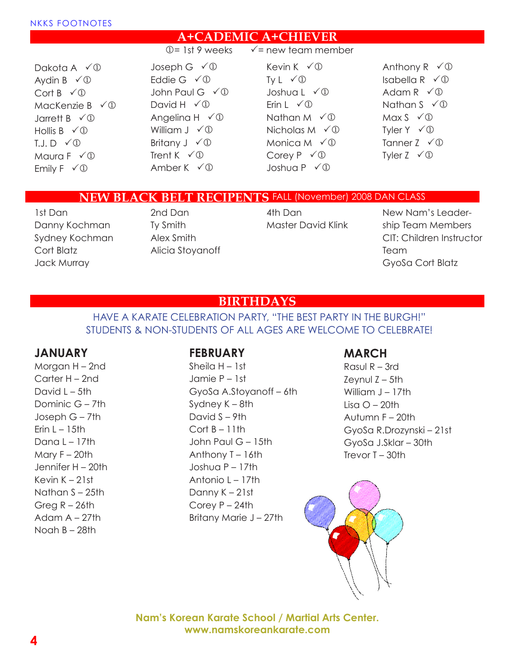#### **A+CADEMIC A+CHIEVER**

 $\mathbb{Q}$ = 1st 9 weeks  $\checkmark$  = new team member

Dakota A  $\checkmark$  D Aydin B  $\check{\sqrt{}}$ Cort  $B \vee \mathbb{D}$ MacKenzie B $\check{\sqrt{D}}$ Jarrett B  $\check{\sqrt{}}$ Hollis B  $\checkmark$  1  $T.J.D \quad \sqrt{D}$ Maura  $F \vee \mathbb{D}$ Emily  $F \checkmark \mathbb{O}$ 

Joseph G  $\check{\sqrt{}}$ Eddie G  $\checkmark$  <sup>0</sup> John Paul G  $\checkmark$  <sup>1</sup> David H  $\checkmark$  <sub>1</sub> Angelina H  $\checkmark$   $\mathbb{O}$ William  $J \checkmark \mathbb{D}$ Britany  $J \check{\curvearrowleft} \mathbb{D}$ Trent K  $\checkmark$  D Amber K  $\checkmark$  0

#### Kevin K  $\checkmark$  0 Ty  $L \sqrt{D}$ Joshua L $\sqrt{D}$ Erin  $L \sqrt{D}$ Nathan M  $\checkmark$  1 Nicholas M  $\checkmark$  1 Monica M  $\check{\sqrt{D}}$ Corey  $P \vee$   $\mathbb{O}$ Joshua P $\sqrt{D}$

Anthony R  $\check{\sqrt{D}}$ Isabella R  $\check{\sqrt{D}}$ Adam R  $\checkmark$   $\mathbb{D}$ Nathan  $S \vee \mathbb{D}$ Max  $S \vee \mathbb{D}$ Tyler  $Y \check{\sim} \mathbb{D}$ Tanner  $Z \checkmark \mathbb{O}$ Tyler  $Z \checkmark \mathbb{O}$ 

#### **NEW BLACK BELT RECIPENTS** FALL (November) 2008 DAN CLASS

1st Dan Danny Kochman Sydney Kochman Cort Blatz Jack Murray

2nd Dan Ty Smith Alex Smith Alicia Stoyanoff

4th Dan Master David Klink

New Nam's Leadership Team Members CIT: Children Instructor Team GyoSa Cort Blatz

## **BIRTHDAYS**

#### HAVE A KARATE CELEBRATION PARTY, "THE BEST PARTY IN THE BURGH!" STUDENTS & NON-STUDENTS OF ALL AGES ARE WELCOME TO CELEBRATE!

#### **JANUARY**

Morgan H – 2nd Carter H – 2nd David  $L - 5$ th Dominic G – 7th Joseph G – 7th Erin  $L - 15$ th Dana L – 17th Mary  $F - 20$ th Jennifer H – 20th Kevin K – 21st Nathan S – 25th Greg  $R - 26th$ Adam  $A - 27$ th Noah B – 28th

#### **FEBRUARY**

Sheila H – 1st Jamie P – 1st GyoSa A.Stoyanoff – 6th Sydney K – 8th David S – 9th  $Cort B - 11th$ John Paul G – 15th Anthony T – 16th Joshua P – 17th Antonio  $I - 17$ th Danny K – 21st Corey P – 24th Britany Marie J – 27th

## **MARCH**

Rasul R – 3rd  $Z$ evnul  $Z - 5$ th William  $J - 17$ th Lisa  $O - 20$ th Autumn F – 20th GyoSa R.Drozynski – 21st GyoSa J.Sklar – 30th Trevor  $T - 30$ th



**Nam's Korean Karate School / Martial Arts Center. www.namskoreankarate.com**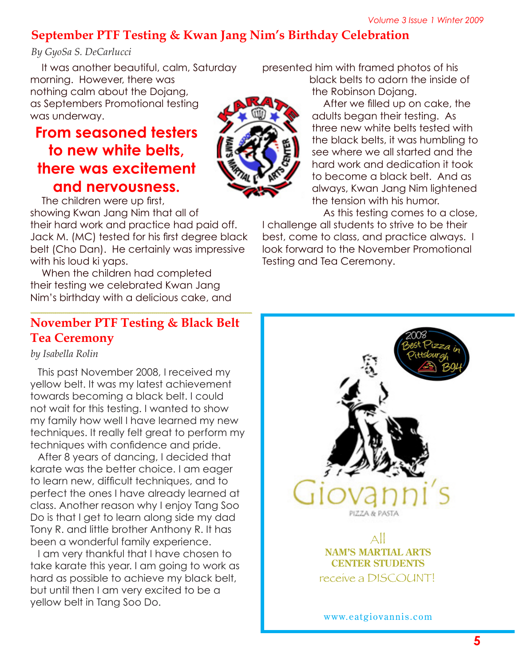# **September PTF Testing & Kwan Jang Nim's Birthday Celebration**

### *By GyoSa S. DeCarlucci*

It was another beautiful, calm, Saturday morning. However, there was nothing calm about the Dojang, as Septembers Promotional testing was underway.

# **From seasoned testers to new white belts, there was excitement and nervousness.**

The children were up first, showing Kwan Jang Nim that all of their hard work and practice had paid off. Jack M. (MC) tested for his first degree black belt (Cho Dan). He certainly was impressive with his loud ki yaps.

When the children had completed their testing we celebrated Kwan Jang Nim's birthday with a delicious cake, and

## **November PTF Testing & Black Belt Tea Ceremony**

*by Isabella Rolin*

This past November 2008, I received my yellow belt. It was my latest achievement towards becoming a black belt. I could not wait for this testing. I wanted to show my family how well I have learned my new techniques. It really felt great to perform my techniques with confidence and pride.

After 8 years of dancing, I decided that karate was the better choice. I am eager to learn new, difficult techniques, and to perfect the ones I have already learned at class. Another reason why I enjoy Tang Soo Do is that I get to learn along side my dad Tony R. and little brother Anthony R. It has been a wonderful family experience.

I am very thankful that I have chosen to take karate this year. I am going to work as hard as possible to achieve my black belt, but until then I am very excited to be a yellow belt in Tang Soo Do.

presented him with framed photos of his

black belts to adorn the inside of the Robinson Dojang.

After we filled up on cake, the adults began their testing. As three new white belts tested with the black belts, it was humbling to see where we all started and the hard work and dedication it took to become a black belt. And as always, Kwan Jang Nim lightened the tension with his humor.

As this testing comes to a close,

I challenge all students to strive to be their best, come to class, and practice always. I look forward to the November Promotional Testing and Tea Ceremony.



www.eatgiovannis.com

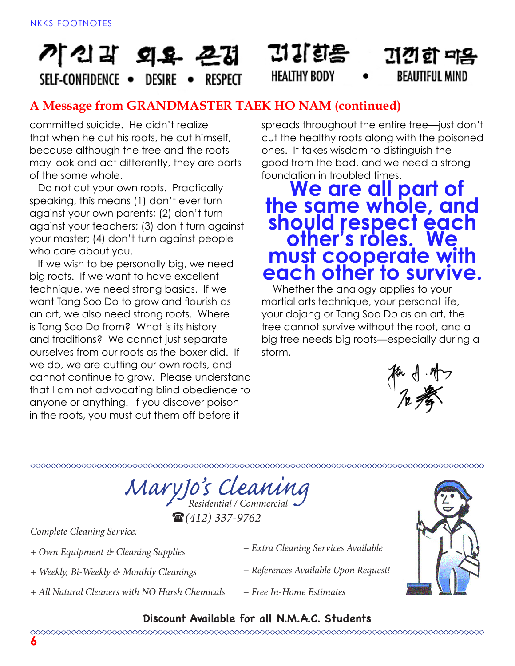# 기 21 외요 굔겹 SFLF-CONFIDENCE . DESIRE RESPECT

# **A Message from GRANDMASTER TAEK HO NAM (continued)**

committed suicide. He didn't realize that when he cut his roots, he cut himself, because although the tree and the roots may look and act differently, they are parts of the some whole.

Do not cut your own roots. Practically speaking, this means (1) don't ever turn against your own parents; (2) don't turn against your teachers; (3) don't turn against your master; (4) don't turn against people who care about you.

If we wish to be personally big, we need big roots. If we want to have excellent technique, we need strong basics. If we want Tang Soo Do to grow and flourish as an art, we also need strong roots. Where is Tang Soo Do from? What is its history and traditions? We cannot just separate ourselves from our roots as the boxer did. If we do, we are cutting our own roots, and cannot continue to grow. Please understand that I am not advocating blind obedience to anyone or anything. If you discover poison in the roots, you must cut them off before it

spreads throughout the entire tree—just don't cut the healthy roots along with the poisoned ones. It takes wisdom to distinguish the good from the bad, and we need a strong foundation in troubled times.

귀감한 미음

**BEAUTIFUL MIND** 

디기회용

**HEALTHY BODY** 

# **We are all part of the same whole, and should respect each other's roles. We must cooperate with each other to survive.**

 Whether the analogy applies to your martial arts technique, your personal life, your dojang or Tang Soo Do as an art, the tree cannot survive without the root, and a big tree needs big roots—especially during a storm.



*MaryJo's Cleaning Residential / Commercial*

(*(412) 337-9762*

*Complete Cleaning Service:*

*+ Own Equipment & Cleaning Supplies*

*+ Weekly, Bi-Weekly & Monthly Cleanings*

- *+ All Natural Cleaners with NO Harsh Chemicals*
- *+ Extra Cleaning Services Available*
- *+ References Available Upon Request!*
- *+ Free In-Home Estimates*



## **Discount Available for all N.M.A.C. Students**